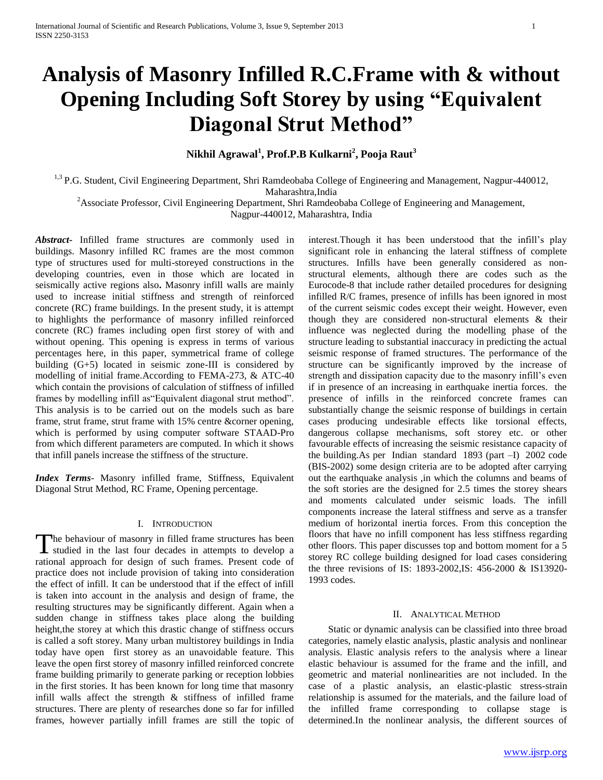# **Analysis of Masonry Infilled R.C.Frame with & without Opening Including Soft Storey by using "Equivalent Diagonal Strut Method"**

## **Nikhil Agrawal<sup>1</sup> , Prof.P.B Kulkarni<sup>2</sup> , Pooja Raut<sup>3</sup>**

<sup>1,3</sup> P.G. Student, Civil Engineering Department, Shri Ramdeobaba College of Engineering and Management, Nagpur-440012, Maharashtra,India

<sup>2</sup>Associate Professor, Civil Engineering Department, Shri Ramdeobaba College of Engineering and Management,

Nagpur-440012, Maharashtra, India

*Abstract***-** Infilled frame structures are commonly used in buildings. Masonry infilled RC frames are the most common type of structures used for multi-storeyed constructions in the developing countries, even in those which are located in seismically active regions also**.** Masonry infill walls are mainly used to increase initial stiffness and strength of reinforced concrete (RC) frame buildings. In the present study, it is attempt to highlights the performance of masonry infilled reinforced concrete (RC) frames including open first storey of with and without opening. This opening is express in terms of various percentages here, in this paper, symmetrical frame of college building (G+5) located in seismic zone-III is considered by modelling of initial frame.According to FEMA-273, & ATC-40 which contain the provisions of calculation of stiffness of infilled frames by modelling infill as"Equivalent diagonal strut method". This analysis is to be carried out on the models such as bare frame, strut frame, strut frame with 15% centre &corner opening, which is performed by using computer software STAAD-Pro from which different parameters are computed. In which it shows that infill panels increase the stiffness of the structure.

*Index Terms*- Masonry infilled frame, Stiffness, Equivalent Diagonal Strut Method, RC Frame, Opening percentage.

#### I. INTRODUCTION

The behaviour of masonry in filled frame structures has been<br>studied in the last four decades in attempts to develop a I studied in the last four decades in attempts to develop a rational approach for design of such frames. Present code of practice does not include provision of taking into consideration the effect of infill. It can be understood that if the effect of infill is taken into account in the analysis and design of frame, the resulting structures may be significantly different. Again when a sudden change in stiffness takes place along the building height,the storey at which this drastic change of stiffness occurs is called a soft storey. Many urban multistorey buildings in India today have open first storey as an unavoidable feature. This leave the open first storey of masonry infilled reinforced concrete frame building primarily to generate parking or reception lobbies in the first stories. It has been known for long time that masonry infill walls affect the strength & stiffness of infilled frame structures. There are plenty of researches done so far for infilled frames, however partially infill frames are still the topic of interest.Though it has been understood that the infill's play significant role in enhancing the lateral stiffness of complete structures. Infills have been generally considered as nonstructural elements, although there are codes such as the Eurocode-8 that include rather detailed procedures for designing infilled R/C frames, presence of infills has been ignored in most of the current seismic codes except their weight. However, even though they are considered non-structural elements & their influence was neglected during the modelling phase of the structure leading to substantial inaccuracy in predicting the actual seismic response of framed structures. The performance of the structure can be significantly improved by the increase of strength and dissipation capacity due to the masonry infill's even if in presence of an increasing in earthquake inertia forces. the presence of infills in the reinforced concrete frames can substantially change the seismic response of buildings in certain cases producing undesirable effects like torsional effects, dangerous collapse mechanisms, soft storey etc. or other favourable effects of increasing the seismic resistance capacity of the building.As per Indian standard 1893 (part –I) 2002 code (BIS-2002) some design criteria are to be adopted after carrying out the earthquake analysis ,in which the columns and beams of the soft stories are the designed for 2.5 times the storey shears and moments calculated under seismic loads. The infill components increase the lateral stiffness and serve as a transfer medium of horizontal inertia forces. From this conception the floors that have no infill component has less stiffness regarding other floors. This paper discusses top and bottom moment for a 5 storey RC college building designed for load cases considering the three revisions of IS: 1893-2002,IS: 456-2000 & IS13920- 1993 codes.

#### II. ANALYTICAL METHOD

 Static or dynamic analysis can be classified into three broad categories, namely elastic analysis, plastic analysis and nonlinear analysis. Elastic analysis refers to the analysis where a linear elastic behaviour is assumed for the frame and the infill, and geometric and material nonlinearities are not included. In the case of a plastic analysis, an elastic-plastic stress-strain relationship is assumed for the materials, and the failure load of the infilled frame corresponding to collapse stage is determined.In the nonlinear analysis, the different sources of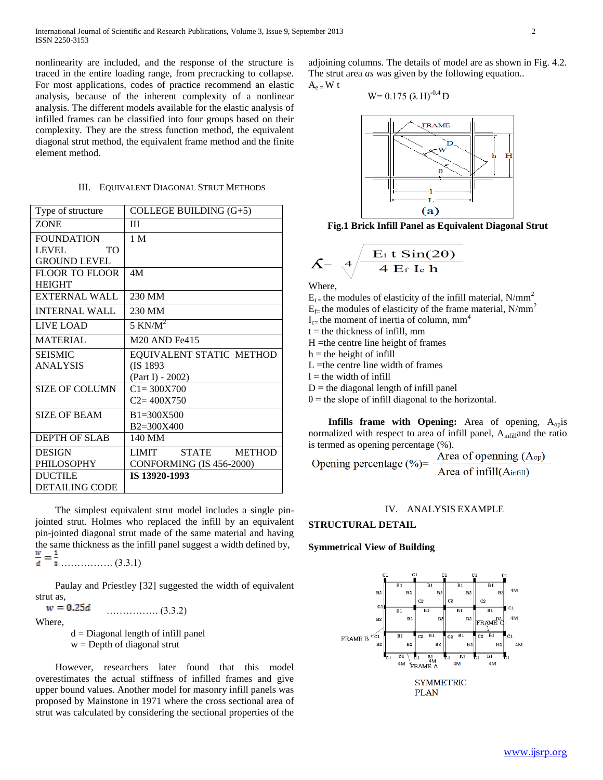nonlinearity are included, and the response of the structure is traced in the entire loading range, from precracking to collapse. For most applications, codes of practice recommend an elastic analysis, because of the inherent complexity of a nonlinear analysis. The different models available for the elastic analysis of infilled frames can be classified into four groups based on their complexity. They are the stress function method, the equivalent diagonal strut method, the equivalent frame method and the finite element method.

### III. EQUIVALENT DIAGONAL STRUT METHODS

| Type of structure     | COLLEGE BUILDING (G+5)                |
|-----------------------|---------------------------------------|
| <b>ZONE</b>           | Ш                                     |
| <b>FOUNDATION</b>     | 1 <sub>M</sub>                        |
| LEVEL<br>TO.          |                                       |
| <b>GROUND LEVEL</b>   |                                       |
| <b>FLOOR TO FLOOR</b> | 4M                                    |
| <b>HEIGHT</b>         |                                       |
| EXTERNAL WALL         | 230 MM                                |
| <b>INTERNAL WALL</b>  | 230 MM                                |
| LIVE LOAD             | 5 KN/ $M^2$                           |
| <b>MATERIAL</b>       | M <sub>20</sub> AND Fe <sub>415</sub> |
| SEISMIC               | EQUIVALENT STATIC METHOD              |
| <b>ANALYSIS</b>       | (IS 1893)                             |
|                       | (Part I) - 2002)                      |
| <b>SIZE OF COLUMN</b> | $C1 = 300X700$                        |
|                       | $C2 = 400X750$                        |
| <b>SIZE OF BEAM</b>   | $B1 = 300X500$                        |
|                       | B2=300X400                            |
| <b>DEPTH OF SLAB</b>  | 140 MM                                |
| <b>DESIGN</b>         | LIMIT STATE METHOD                    |
| <b>PHILOSOPHY</b>     | CONFORMING (IS 456-2000)              |
| <b>DUCTILE</b>        | IS 13920-1993                         |
| <b>DETAILING CODE</b> |                                       |

 The simplest equivalent strut model includes a single pinjointed strut. Holmes who replaced the infill by an equivalent pin-jointed diagonal strut made of the same material and having the same thickness as the infill panel suggest a width defined by,  $\frac{1}{3}$  …………….. (3.3.1)

 Paulay and Priestley [32] suggested the width of equivalent strut as,

 $w = 0.25d$ ……………. (3.3.2)

Where,

 $d = Diagonal length of infill panel$ 

 $w =$  Depth of diagonal strut

 However, researchers later found that this model overestimates the actual stiffness of infilled frames and give upper bound values. Another model for masonry infill panels was proposed by Mainstone in 1971 where the cross sectional area of strut was calculated by considering the sectional properties of the

adjoining columns. The details of model are as shown in Fig. 4.2. The strut area *as* was given by the following equation..  $A_e$  = W t

$$
W=0.175~(\lambda~H)^{-0.4}~D
$$



**Fig.1 Brick Infill Panel as Equivalent Diagonal Strut**

$$
\mathsf{S} = \sqrt{4 \frac{\mathrm{E}_{\mathrm{i}} \, \mathrm{t} \, \mathrm{Sin}(2\theta)}{4 \, \mathrm{E}_{\mathrm{f}} \, \mathrm{I}_{\mathrm{e}} \, \mathrm{h}}}
$$

Where,

 $\overline{\phantom{a}}$ 

 $E_i$  = the modules of elasticity of the infill material, N/mm<sup>2</sup>

 $E_f$ = the modules of elasticity of the frame material, N/mm<sup>2</sup>

 $I_{c=}$  the moment of inertia of column, mm<sup>4</sup>

 $t =$  the thickness of infill, mm

 $H =$ the centre line height of frames

 $h =$  the height of infill

 $L =$ the centre line width of frames

 $l =$  the width of infill

 $D =$  the diagonal length of infill panel

 $\theta$  = the slope of infill diagonal to the horizontal.

**Infills frame with Opening:** Area of opening, A<sub>op</sub>is normalized with respect to area of infill panel, A<sub>infil</sub>and the ratio

is termed as opening percentage (%).<br>
Opening percentage (%)=  $\frac{\text{Area of opening (Aop)}}{\text{Area of infill(Ainfill)}}$ 

#### IV. ANALYSIS EXAMPLE

#### **STRUCTURAL DETAIL**

#### **Symmetrical View of Building**

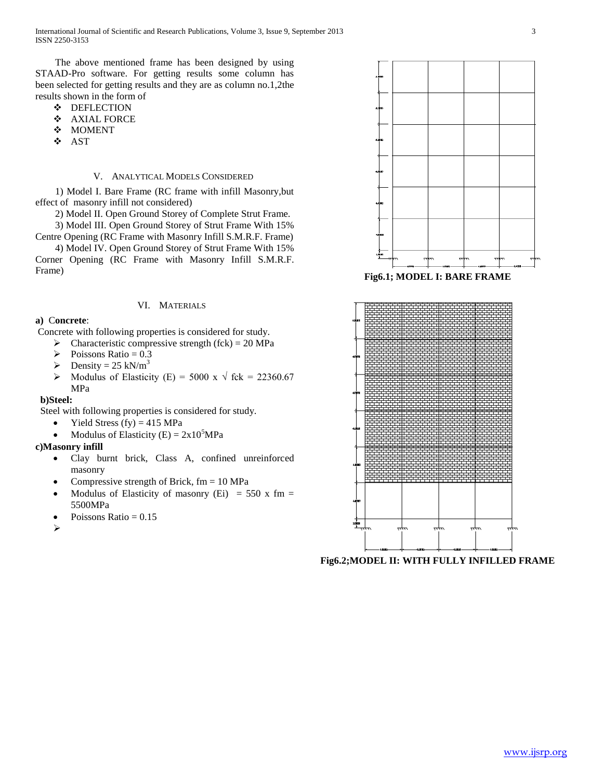The above mentioned frame has been designed by using STAAD-Pro software. For getting results some column has been selected for getting results and they are as column no.1,2the results shown in the form of

- $\div$  DEFLECTION
- AXIAL FORCE
- ❖ MOMENT
- AST

#### V. ANALYTICAL MODELS CONSIDERED

 1) Model I. Bare Frame (RC frame with infill Masonry,but effect of masonry infill not considered)

2) Model II. Open Ground Storey of Complete Strut Frame.

 3) Model III. Open Ground Storey of Strut Frame With 15% Centre Opening (RC Frame with Masonry Infill S.M.R.F. Frame)

 4) Model IV. Open Ground Storey of Strut Frame With 15% Corner Opening (RC Frame with Masonry Infill S.M.R.F. Frame)

#### VI. MATERIALS

#### **a)** C**oncrete**:

Concrete with following properties is considered for study.

- $\triangleright$  Characteristic compressive strength (fck) = 20 MPa
- $\triangleright$  Poissons Ratio = 0.3
- $\triangleright$  Density = 25 kN/m<sup>3</sup>
- Modulus of Elasticity (E) = 5000 x  $\sqrt{\text{fck}}$  = 22360.67 MPa

#### **b)Steel:**

Steel with following properties is considered for study.

- Yield Stress (fy)  $= 415 \text{ MPa}$
- Modulus of Elasticity (E) =  $2x10^5MPa$

#### **c)Masonry infill**

- Clay burnt brick, Class A, confined unreinforced masonry
- Compressive strength of Brick, fm = 10 MPa
- Modulus of Elasticity of masonry (Ei) = 550 x fm = 5500MPa
- Poissons Ratio  $= 0.15$

↘





**Fig6.2;MODEL II: WITH FULLY INFILLED FRAME**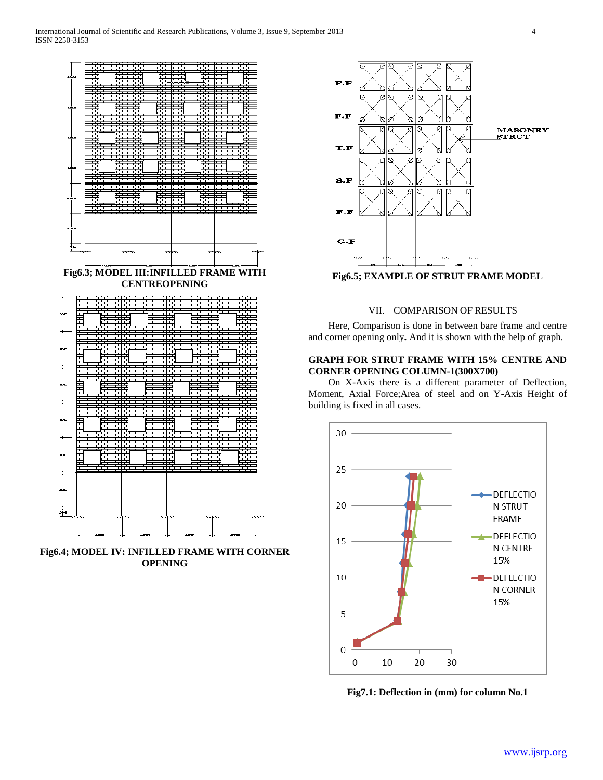

**Fig6.4; MODEL IV: INFILLED FRAME WITH CORNER OPENING**



**Fig6.5; EXAMPLE OF STRUT FRAME MODEL**

## VII. COMPARISON OF RESULTS

 Here, Comparison is done in between bare frame and centre and corner opening only**.** And it is shown with the help of graph.

## **GRAPH FOR STRUT FRAME WITH 15% CENTRE AND CORNER OPENING COLUMN-1(300X700)**

 On X-Axis there is a different parameter of Deflection, Moment, Axial Force;Area of steel and on Y-Axis Height of building is fixed in all cases.



**Fig7.1: Deflection in (mm) for column No.1**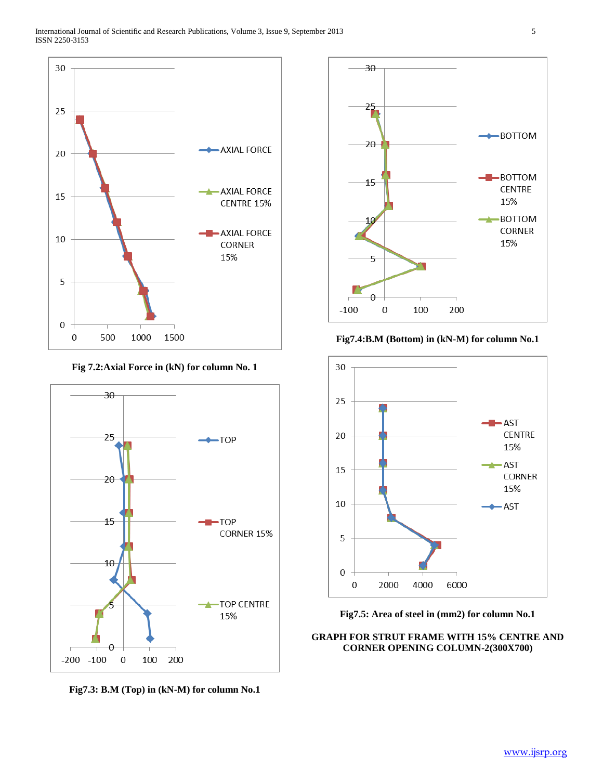

**Fig 7.2:Axial Force in (kN) for column No. 1**



**Fig7.3: B.M (Top) in (kN-M) for column No.1**



**Fig7.4:B.M (Bottom) in (kN-M) for column No.1**



**Fig7.5: Area of steel in (mm2) for column No.1**

## **GRAPH FOR STRUT FRAME WITH 15% CENTRE AND CORNER OPENING COLUMN-2(300X700)**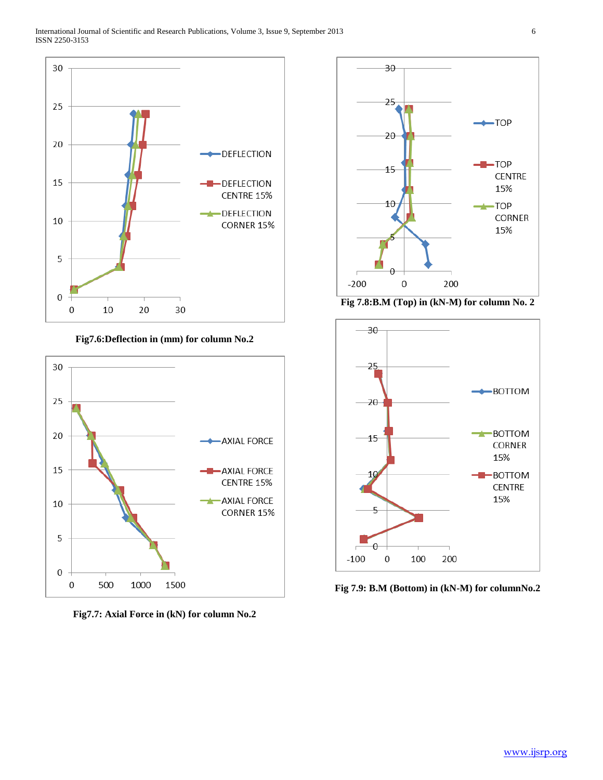

**Fig7.6:Deflection in (mm) for column No.2**



**Fig7.7: Axial Force in (kN) for column No.2**



**Fig 7.8:B.M (Top) in (kN-M) for column No. 2**



**Fig 7.9: B.M (Bottom) in (kN-M) for columnNo.2**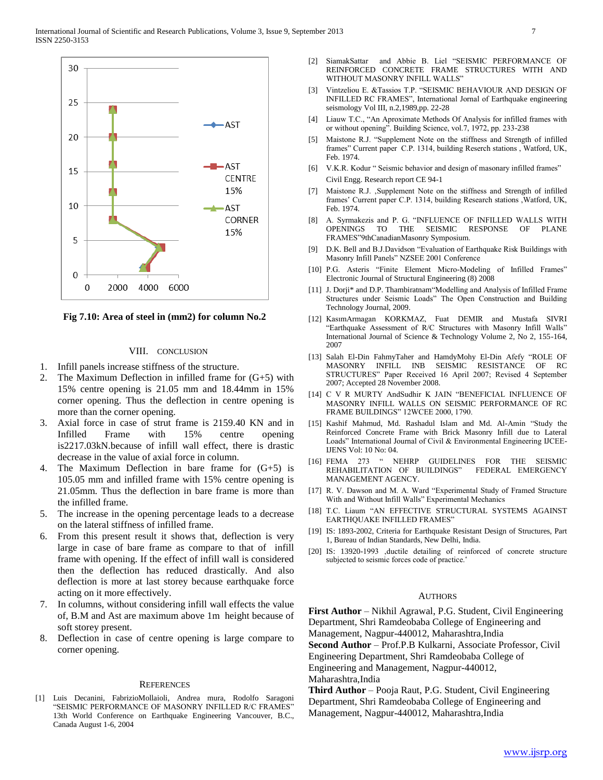

**Fig 7.10: Area of steel in (mm2) for column No.2**

#### VIII. CONCLUSION

- 1. Infill panels increase stiffness of the structure.
- 2. The Maximum Deflection in infilled frame for  $(G+5)$  with 15% centre opening is 21.05 mm and 18.44mm in 15% corner opening. Thus the deflection in centre opening is more than the corner opening.
- 3. Axial force in case of strut frame is 2159.40 KN and in Infilled Frame with 15% centre opening is2217.03kN.because of infill wall effect, there is drastic decrease in the value of axial force in column.
- 4. The Maximum Deflection in bare frame for (G+5) is 105.05 mm and infilled frame with 15% centre opening is 21.05mm. Thus the deflection in bare frame is more than the infilled frame.
- 5. The increase in the opening percentage leads to a decrease on the lateral stiffness of infilled frame.
- 6. From this present result it shows that, deflection is very large in case of bare frame as compare to that of infill frame with opening. If the effect of infill wall is considered then the deflection has reduced drastically. And also deflection is more at last storey because earthquake force acting on it more effectively.
- 7. In columns, without considering infill wall effects the value of, B.M and Ast are maximum above 1m height because of soft storey present.
- 8. Deflection in case of centre opening is large compare to corner opening.

#### REFERENCES

[1] Luis Decanini, FabrizioMollaioli, Andrea mura, Rodolfo Saragoni "SEISMIC PERFORMANCE OF MASONRY INFILLED R/C FRAMES" 13th World Conference on Earthquake Engineering Vancouver, B.C., Canada August 1-6, 2004

- [2] SiamakSattar and Abbie B. Liel "SEISMIC PERFORMANCE OF REINFORCED CONCRETE FRAME STRUCTURES WITH AND WITHOUT MASONRY INFILL WALLS"
- [3] Vintzeliou E. &Tassios T.P. "SEISMIC BEHAVIOUR AND DESIGN OF INFILLED RC FRAMES", International Jornal of Earthquake engineering seismology Vol III, n.2,1989,pp. 22-28
- [4] Liauw T.C., "An Aproximate Methods Of Analysis for infilled frames with or without opening". Building Science, vol.7, 1972, pp. 233-238
- [5] Maistone R.J. "Supplement Note on the stiffness and Strength of infilled frames" Current paper C.P. 1314, building Reserch stations , Watford, UK, Feb. 1974.
- [6] V.K.R. Kodur " Seismic behavior and design of masonary infilled frames" Civil Engg. Research report CE 94-1
- [7] Maistone R.J. , Supplement Note on the stiffness and Strength of infilled frames' Current paper C.P. 1314, building Research stations ,Watford, UK, Feb. 1974.
- [8] A. Syrmakezis and P. G. "INFLUENCE OF INFILLED WALLS WITH OPENINGS TO THE SEISMIC RESPONSE OF PLANE FRAMES"9thCanadianMasonry Symposium.
- [9] D.K. Bell and B.J.Davidson "Evaluation of Earthquake Risk Buildings with Masonry Infill Panels" NZSEE 2001 Conference
- [10] P.G. Asteris "Finite Element Micro-Modeling of Infilled Frames" Electronic Journal of Structural Engineering (8) 2008
- [11] J. Dorji\* and D.P. Thambiratnam"Modelling and Analysis of Infilled Frame Structures under Seismic Loads" The Open Construction and Building Technology Journal, 2009.
- [12] KasımArmagan KORKMAZ, Fuat DEMIR and Mustafa SIVRI "Earthquake Assessment of R/C Structures with Masonry Infill Walls" International Journal of Science & Technology Volume 2, No 2, 155-164, 2007
- [13] Salah El-Din FahmyTaher and HamdyMohy El-Din Afefy "ROLE OF MASONRY INFILL INB SEISMIC RESISTANCE OF RC STRUCTURES" Paper Received 16 April 2007; Revised 4 September 2007; Accepted 28 November 2008.
- [14] C V R MURTY AndSudhir K JAIN "BENEFICIAL INFLUENCE OF MASONRY INFILL WALLS ON SEISMIC PERFORMANCE OF RC FRAME BUILDINGS" 12WCEE 2000, 1790.
- [15] Kashif Mahmud, Md. Rashadul Islam and Md. Al-Amin "Study the Reinforced Concrete Frame with Brick Masonry Infill due to Lateral Loads" International Journal of Civil & Environmental Engineering IJCEE-IJENS Vol: 10 No: 04.
- [16] FEMA 273 " NEHRP GUIDELINES FOR THE SEISMIC REHABILITATION OF BUILDINGS" FEDERAL EMERGENCY MANAGEMENT AGENCY.
- [17] R. V. Dawson and M. A. Ward "Experimental Study of Framed Structure With and Without Infill Walls" Experimental Mechanics
- [18] T.C. Liaum "AN EFFECTIVE STRUCTURAL SYSTEMS AGAINST EARTHQUAKE INFILLED FRAMES"
- [19] IS: 1893-2002, Criteria for Earthquake Resistant Design of Structures, Part 1, Bureau of Indian Standards, New Delhi, India.
- [20] IS: 13920-1993 ductile detailing of reinforced of concrete structure subjected to seismic forces code of practice.'

#### **AUTHORS**

**First Author** – Nikhil Agrawal, P.G. Student, Civil Engineering Department, Shri Ramdeobaba College of Engineering and Management, Nagpur-440012, Maharashtra,India

**Second Author** – Prof.P.B Kulkarni, Associate Professor, Civil Engineering Department, Shri Ramdeobaba College of

Engineering and Management, Nagpur-440012, Maharashtra,India

**Third Author** – Pooja Raut, P.G. Student, Civil Engineering Department, Shri Ramdeobaba College of Engineering and Management, Nagpur-440012, Maharashtra,India